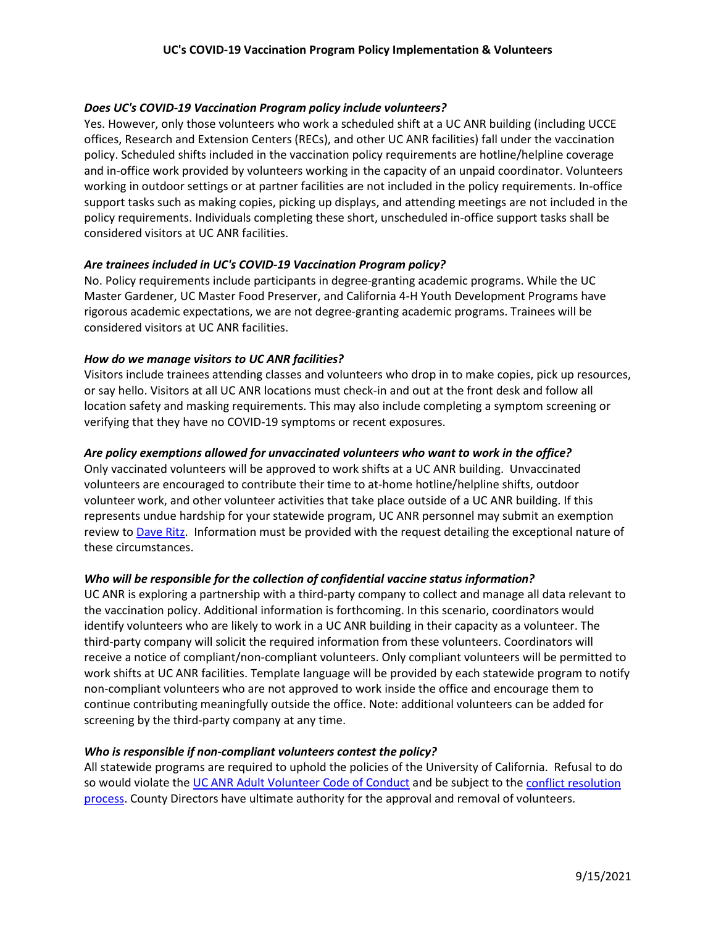# *Does UC's COVID-19 Vaccination Program policy include volunteers?*

Yes. However, only those volunteers who work a scheduled shift at a UC ANR building (including UCCE offices, Research and Extension Centers (RECs), and other UC ANR facilities) fall under the vaccination policy. Scheduled shifts included in the vaccination policy requirements are hotline/helpline coverage and in-office work provided by volunteers working in the capacity of an unpaid coordinator. Volunteers working in outdoor settings or at partner facilities are not included in the policy requirements. In-office support tasks such as making copies, picking up displays, and attending meetings are not included in the policy requirements. Individuals completing these short, unscheduled in-office support tasks shall be considered visitors at UC ANR facilities.

### *Are trainees included in UC's COVID-19 Vaccination Program policy?*

No. Policy requirements include participants in degree-granting academic programs. While the UC Master Gardener, UC Master Food Preserver, and California 4-H Youth Development Programs have rigorous academic expectations, we are not degree-granting academic programs. Trainees will be considered visitors at UC ANR facilities.

### *How do we manage visitors to UC ANR facilities?*

Visitors include trainees attending classes and volunteers who drop in to make copies, pick up resources, or say hello. Visitors at all UC ANR locations must check-in and out at the front desk and follow all location safety and masking requirements. This may also include completing a symptom screening or verifying that they have no COVID-19 symptoms or recent exposures.

### *Are policy exemptions allowed for unvaccinated volunteers who want to work in the office?*

Only vaccinated volunteers will be approved to work shifts at a UC ANR building. Unvaccinated volunteers are encouraged to contribute their time to at-home hotline/helpline shifts, outdoor volunteer work, and other volunteer activities that take place outside of a UC ANR building. If this represents undue hardship for your statewide program, UC ANR personnel may submit an exemption review t[o Dave Ritz.](mailto:daritz@ucanr.edu) Information must be provided with the request detailing the exceptional nature of these circumstances.

# *Who will be responsible for the collection of confidential vaccine status information?*

UC ANR is exploring a partnership with a third-party company to collect and manage all data relevant to the vaccination policy. Additional information is forthcoming. In this scenario, coordinators would identify volunteers who are likely to work in a UC ANR building in their capacity as a volunteer. The third-party company will solicit the required information from these volunteers. Coordinators will receive a notice of compliant/non-compliant volunteers. Only compliant volunteers will be permitted to work shifts at UC ANR facilities. Template language will be provided by each statewide program to notify non-compliant volunteers who are not approved to work inside the office and encourage them to continue contributing meaningfully outside the office. Note: additional volunteers can be added for screening by the third-party company at any time.

#### *Who is responsible if non-compliant volunteers contest the policy?*

All statewide programs are required to uphold the policies of the University of California. Refusal to do so would violate the [UC ANR Adult Volunteer Code of Conduct](https://ucanr.edu/sites/anrstaff/files/1200.pdf) and be subject to the conflict resolution [process.](https://ucanr.edu/sites/anrstaff/files/259522.pdf) County Directors have ultimate authority for the approval and removal of volunteers.